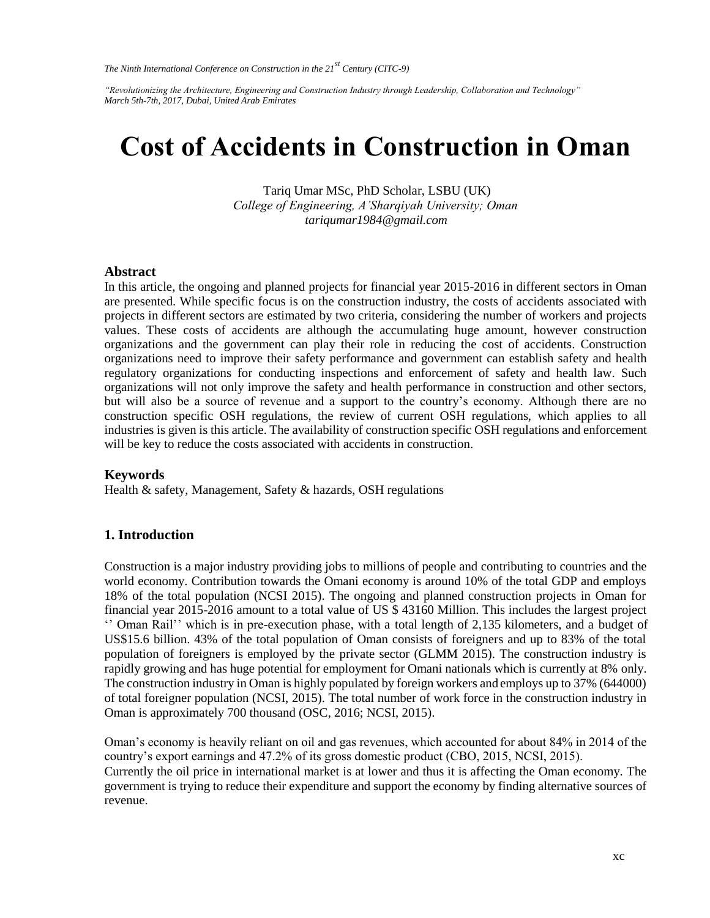*"Revolutionizing the Architecture, Engineering and Construction Industry through Leadership, Collaboration and Technology" March 5th-7th, 2017, Dubai, United Arab Emirates* 

# **Cost of Accidents in Construction in Oman**

Tariq Umar MSc, PhD Scholar, LSBU (UK) *College of Engineering, A'Sharqiyah University; Oman tariqumar1984@gmail.com* 

#### **Abstract**

In this article, the ongoing and planned projects for financial year 2015-2016 in different sectors in Oman are presented. While specific focus is on the construction industry, the costs of accidents associated with projects in different sectors are estimated by two criteria, considering the number of workers and projects values. These costs of accidents are although the accumulating huge amount, however construction organizations and the government can play their role in reducing the cost of accidents. Construction organizations need to improve their safety performance and government can establish safety and health regulatory organizations for conducting inspections and enforcement of safety and health law. Such organizations will not only improve the safety and health performance in construction and other sectors, but will also be a source of revenue and a support to the country's economy. Although there are no construction specific OSH regulations, the review of current OSH regulations, which applies to all industries is given is this article. The availability of construction specific OSH regulations and enforcement will be key to reduce the costs associated with accidents in construction.

#### **Keywords**

Health & safety, Management, Safety & hazards, OSH regulations

#### **1. Introduction**

Construction is a major industry providing jobs to millions of people and contributing to countries and the world economy. Contribution towards the Omani economy is around 10% of the total GDP and employs 18% of the total population (NCSI 2015). The ongoing and planned construction projects in Oman for financial year 2015-2016 amount to a total value of US \$ 43160 Million. This includes the largest project '' Oman Rail'' which is in pre-execution phase, with a total length of 2,135 kilometers, and a budget of US\$15.6 billion. 43% of the total population of Oman consists of foreigners and up to 83% of the total population of foreigners is employed by the private sector (GLMM 2015). The construction industry is rapidly growing and has huge potential for employment for Omani nationals which is currently at 8% only. The construction industry in Oman is highly populated by foreign workers and employs up to 37% (644000) of total foreigner population (NCSI, 2015). The total number of work force in the construction industry in Oman is approximately 700 thousand (OSC, 2016; NCSI, 2015).

Oman's economy is heavily reliant on oil and gas revenues, which accounted for about 84% in 2014 of the country's export earnings and 47.2% of its gross domestic product (CBO, 2015, NCSI, 2015).

Currently the oil price in international market is at lower and thus it is affecting the Oman economy. The government is trying to reduce their expenditure and support the economy by finding alternative sources of revenue.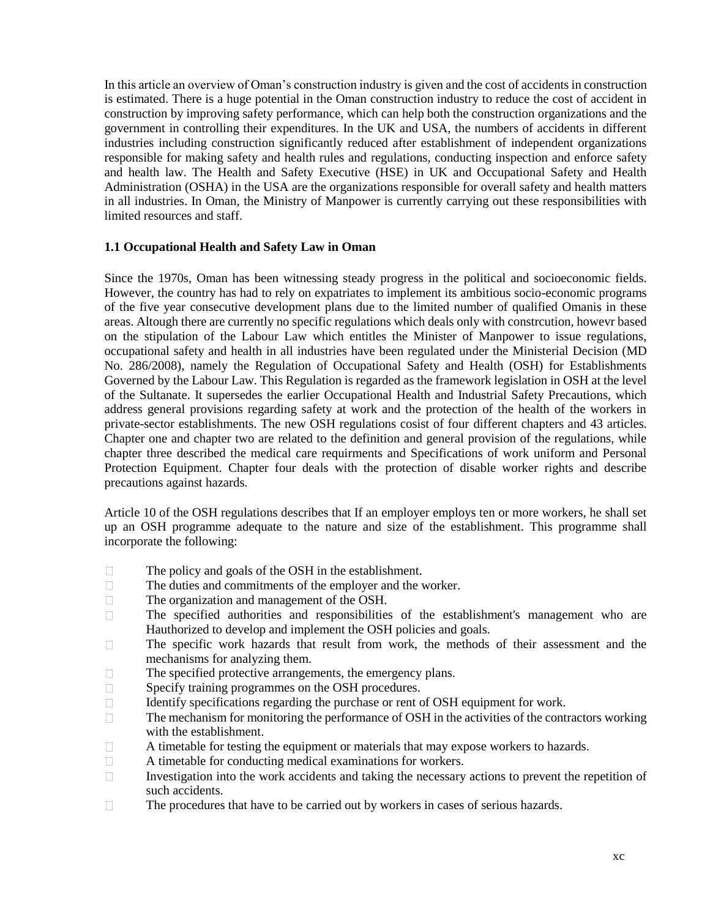In this article an overview of Oman's construction industry is given and the cost of accidents in construction is estimated. There is a huge potential in the Oman construction industry to reduce the cost of accident in construction by improving safety performance, which can help both the construction organizations and the government in controlling their expenditures. In the UK and USA, the numbers of accidents in different industries including construction significantly reduced after establishment of independent organizations responsible for making safety and health rules and regulations, conducting inspection and enforce safety and health law. The Health and Safety Executive (HSE) in UK and Occupational Safety and Health Administration (OSHA) in the USA are the organizations responsible for overall safety and health matters in all industries. In Oman, the Ministry of Manpower is currently carrying out these responsibilities with limited resources and staff.

#### **1.1 Occupational Health and Safety Law in Oman**

Since the 1970s, Oman has been witnessing steady progress in the political and socioeconomic fields. However, the country has had to rely on expatriates to implement its ambitious socio-economic programs of the five year consecutive development plans due to the limited number of qualified Omanis in these areas. Altough there are currently no specific regulations which deals only with constrcution, howevr based on the stipulation of the Labour Law which entitles the Minister of Manpower to issue regulations, occupational safety and health in all industries have been regulated under the Ministerial Decision (MD No. 286/2008), namely the Regulation of Occupational Safety and Health (OSH) for Establishments Governed by the Labour Law. This Regulation is regarded as the framework legislation in OSH at the level of the Sultanate. It supersedes the earlier Occupational Health and Industrial Safety Precautions, which address general provisions regarding safety at work and the protection of the health of the workers in private-sector establishments. The new OSH regulations cosist of four different chapters and 43 articles. Chapter one and chapter two are related to the definition and general provision of the regulations, while chapter three described the medical care requirments and Specifications of work uniform and Personal Protection Equipment. Chapter four deals with the protection of disable worker rights and describe precautions against hazards.

Article 10 of the OSH regulations describes that If an employer employs ten or more workers, he shall set up an OSH programme adequate to the nature and size of the establishment. This programme shall incorporate the following:

- $\Box$ The policy and goals of the OSH in the establishment.
- $\Box$ The duties and commitments of the employer and the worker.
- $\Box$ The organization and management of the OSH.
- The specified authorities and responsibilities of the establishment's management who are  $\Box$ Hauthorized to develop and implement the OSH policies and goals.
- The specific work hazards that result from work, the methods of their assessment and the  $\Box$ mechanisms for analyzing them.
- The specified protective arrangements, the emergency plans.  $\Box$
- $\Box$ Specify training programmes on the OSH procedures.
- $\Box$ Identify specifications regarding the purchase or rent of OSH equipment for work.
- The mechanism for monitoring the performance of OSH in the activities of the contractors working  $\Box$ with the establishment.
- A timetable for testing the equipment or materials that may expose workers to hazards.  $\Box$
- A timetable for conducting medical examinations for workers.  $\Box$
- $\Box$ Investigation into the work accidents and taking the necessary actions to prevent the repetition of such accidents.
- $\Box$ The procedures that have to be carried out by workers in cases of serious hazards.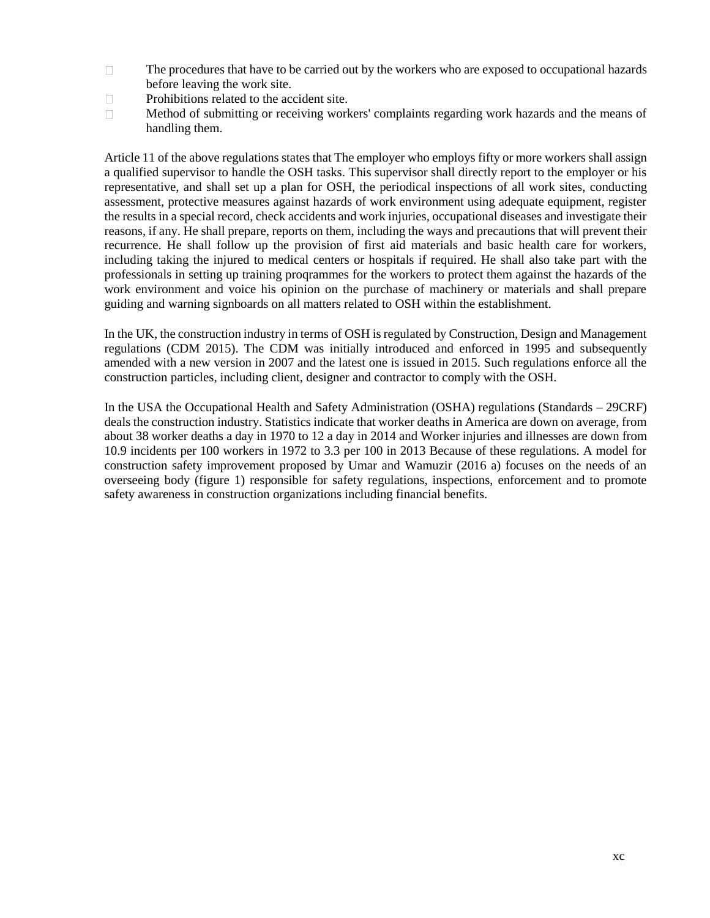- $\Box$ The procedures that have to be carried out by the workers who are exposed to occupational hazards before leaving the work site.
- $\Box$ Prohibitions related to the accident site.
- Method of submitting or receiving workers' complaints regarding work hazards and the means of  $\Box$ handling them.

Article 11 of the above regulations states that The employer who employs fifty or more workers shall assign a qualified supervisor to handle the OSH tasks. This supervisor shall directly report to the employer or his representative, and shall set up a plan for OSH, the periodical inspections of all work sites, conducting assessment, protective measures against hazards of work environment using adequate equipment, register the results in a special record, check accidents and work injuries, occupational diseases and investigate their reasons, if any. He shall prepare, reports on them, including the ways and precautions that will prevent their recurrence. He shall follow up the provision of first aid materials and basic health care for workers, including taking the injured to medical centers or hospitals if required. He shall also take part with the professionals in setting up training proqrammes for the workers to protect them against the hazards of the work environment and voice his opinion on the purchase of machinery or materials and shall prepare guiding and warning signboards on all matters related to OSH within the establishment.

In the UK, the construction industry in terms of OSH is regulated by Construction, Design and Management regulations (CDM 2015). The CDM was initially introduced and enforced in 1995 and subsequently amended with a new version in 2007 and the latest one is issued in 2015. Such regulations enforce all the construction particles, including client, designer and contractor to comply with the OSH.

In the USA the Occupational Health and Safety Administration (OSHA) regulations (Standards – 29CRF) deals the construction industry. Statistics indicate that worker deaths in America are down on average, from about 38 worker deaths a day in 1970 to 12 a day in 2014 and Worker injuries and illnesses are down from 10.9 incidents per 100 workers in 1972 to 3.3 per 100 in 2013 Because of these regulations. A model for construction safety improvement proposed by Umar and Wamuzir (2016 a) focuses on the needs of an overseeing body (figure 1) responsible for safety regulations, inspections, enforcement and to promote safety awareness in construction organizations including financial benefits.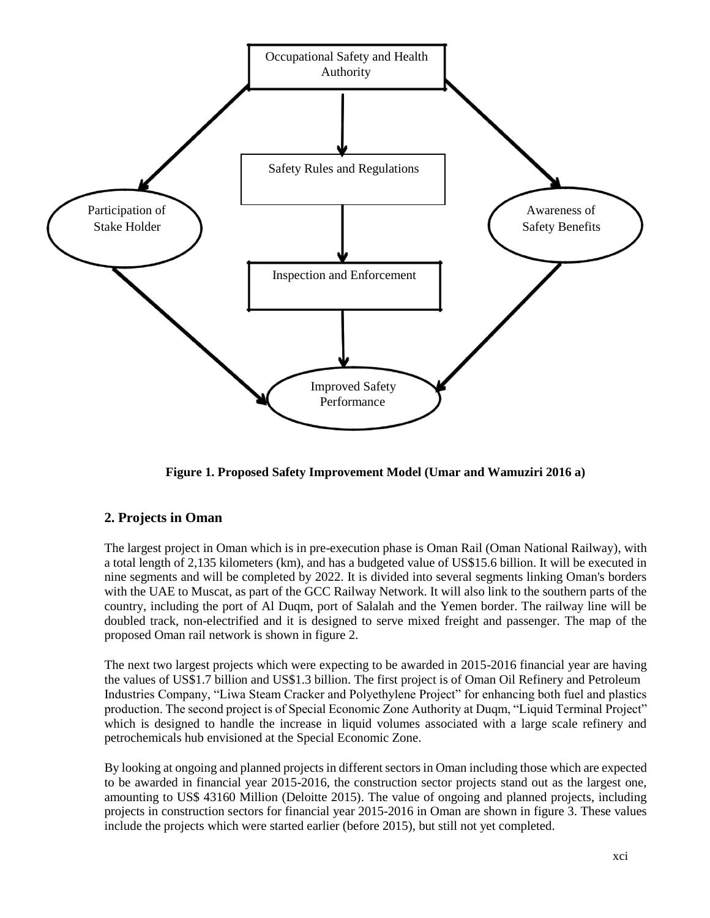

**Figure 1. Proposed Safety Improvement Model (Umar and Wamuziri 2016 a)**

# **2. Projects in Oman**

The largest project in Oman which is in pre-execution phase is Oman Rail (Oman National Railway), with a total length of 2,135 kilometers (km), and has a budgeted value of US\$15.6 billion. It will be executed in nine segments and will be completed by 2022. It is divided into several segments linking Oman's borders with the UAE to Muscat, as part of the GCC Railway Network. It will also link to the southern parts of the country, including the port of Al Duqm, port of Salalah and the Yemen border. The railway line will be doubled track, non-electrified and it is designed to serve mixed freight and passenger. The map of the proposed Oman rail network is shown in figure 2.

The next two largest projects which were expecting to be awarded in 2015-2016 financial year are having the values of US\$1.7 billion and US\$1.3 billion. The first project is of Oman Oil Refinery and Petroleum Industries Company, "Liwa Steam Cracker and Polyethylene Project" for enhancing both fuel and plastics production. The second project is of Special Economic Zone Authority at Duqm, "Liquid Terminal Project" which is designed to handle the increase in liquid volumes associated with a large scale refinery and petrochemicals hub envisioned at the Special Economic Zone.

By looking at ongoing and planned projects in different sectors in Oman including those which are expected to be awarded in financial year 2015-2016, the construction sector projects stand out as the largest one, amounting to US\$ 43160 Million (Deloitte 2015). The value of ongoing and planned projects, including projects in construction sectors for financial year 2015-2016 in Oman are shown in figure 3. These values include the projects which were started earlier (before 2015), but still not yet completed.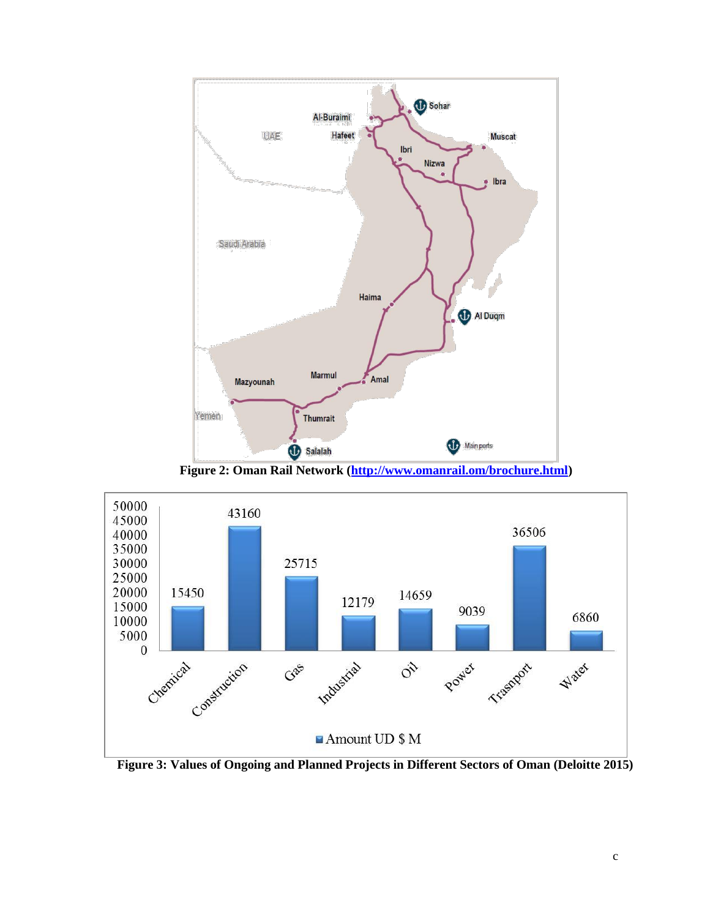

**Figure 2: Oman Rail Network [\(http://www.omanrail.om/brochure.html\)](http://www.omanrail.om/brochure.html)**



**Figure 3: Values of Ongoing and Planned Projects in Different Sectors of Oman (Deloitte 2015)**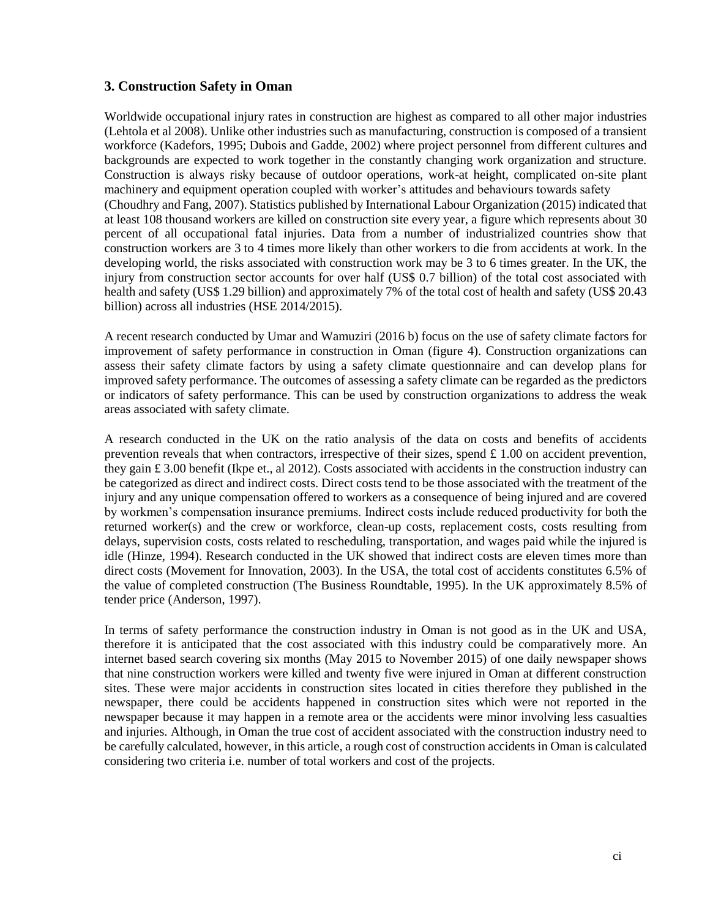### **3. Construction Safety in Oman**

Worldwide occupational injury rates in construction are highest as compared to all other major industries (Lehtola et al 2008). Unlike other industries such as manufacturing, construction is composed of a transient workforce (Kadefors, 1995; Dubois and Gadde, 2002) where project personnel from different cultures and backgrounds are expected to work together in the constantly changing work organization and structure. Construction is always risky because of outdoor operations, work-at height, complicated on-site plant machinery and equipment operation coupled with worker's attitudes and behaviours towards safety (Choudhry and Fang, 2007). Statistics published by International Labour Organization (2015) indicated that at least 108 thousand workers are killed on construction site every year, a figure which represents about 30 percent of all occupational fatal injuries. Data from a number of industrialized countries show that construction workers are 3 to 4 times more likely than other workers to die from accidents at work. In the developing world, the risks associated with construction work may be 3 to 6 times greater. In the UK, the injury from construction sector accounts for over half (US\$ 0.7 billion) of the total cost associated with health and safety (US\$ 1.29 billion) and approximately 7% of the total cost of health and safety (US\$ 20.43 billion) across all industries (HSE 2014/2015).

A recent research conducted by Umar and Wamuziri (2016 b) focus on the use of safety climate factors for improvement of safety performance in construction in Oman (figure 4). Construction organizations can assess their safety climate factors by using a safety climate questionnaire and can develop plans for improved safety performance. The outcomes of assessing a safety climate can be regarded as the predictors or indicators of safety performance. This can be used by construction organizations to address the weak areas associated with safety climate.

A research conducted in the UK on the ratio analysis of the data on costs and benefits of accidents prevention reveals that when contractors, irrespective of their sizes, spend  $\pounds$  1.00 on accident prevention, they gain £ 3.00 benefit (Ikpe et., al 2012). Costs associated with accidents in the construction industry can be categorized as direct and indirect costs. Direct costs tend to be those associated with the treatment of the injury and any unique compensation offered to workers as a consequence of being injured and are covered by workmen's compensation insurance premiums. Indirect costs include reduced productivity for both the returned worker(s) and the crew or workforce, clean-up costs, replacement costs, costs resulting from delays, supervision costs, costs related to rescheduling, transportation, and wages paid while the injured is idle (Hinze, 1994). Research conducted in the UK showed that indirect costs are eleven times more than direct costs (Movement for Innovation, 2003). In the USA, the total cost of accidents constitutes 6.5% of the value of completed construction (The Business Roundtable, 1995). In the UK approximately 8.5% of tender price (Anderson, 1997).

In terms of safety performance the construction industry in Oman is not good as in the UK and USA, therefore it is anticipated that the cost associated with this industry could be comparatively more. An internet based search covering six months (May 2015 to November 2015) of one daily newspaper shows that nine construction workers were killed and twenty five were injured in Oman at different construction sites. These were major accidents in construction sites located in cities therefore they published in the newspaper, there could be accidents happened in construction sites which were not reported in the newspaper because it may happen in a remote area or the accidents were minor involving less casualties and injuries. Although, in Oman the true cost of accident associated with the construction industry need to be carefully calculated, however, in this article, a rough cost of construction accidents in Oman is calculated considering two criteria i.e. number of total workers and cost of the projects.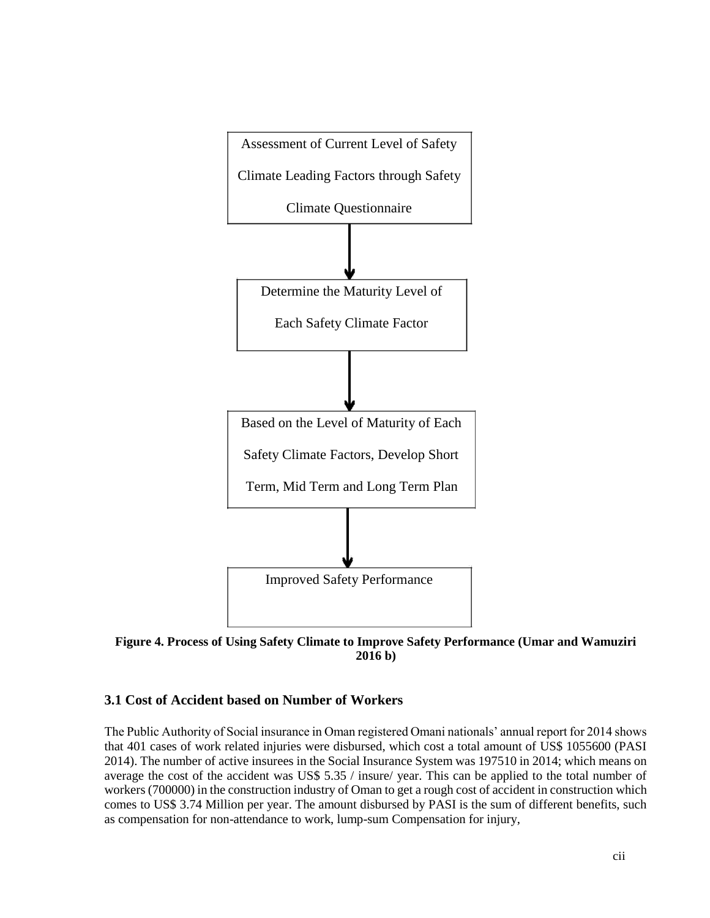

**Figure 4. Process of Using Safety Climate to Improve Safety Performance (Umar and Wamuziri 2016 b)**

# **3.1 Cost of Accident based on Number of Workers**

The Public Authority of Social insurance in Oman registered Omani nationals' annual report for 2014 shows that 401 cases of work related injuries were disbursed, which cost a total amount of US\$ 1055600 (PASI 2014). The number of active insurees in the Social Insurance System was 197510 in 2014; which means on average the cost of the accident was US\$ 5.35 / insure/ year. This can be applied to the total number of workers (700000) in the construction industry of Oman to get a rough cost of accident in construction which comes to US\$ 3.74 Million per year. The amount disbursed by PASI is the sum of different benefits, such as compensation for non-attendance to work, lump-sum Compensation for injury,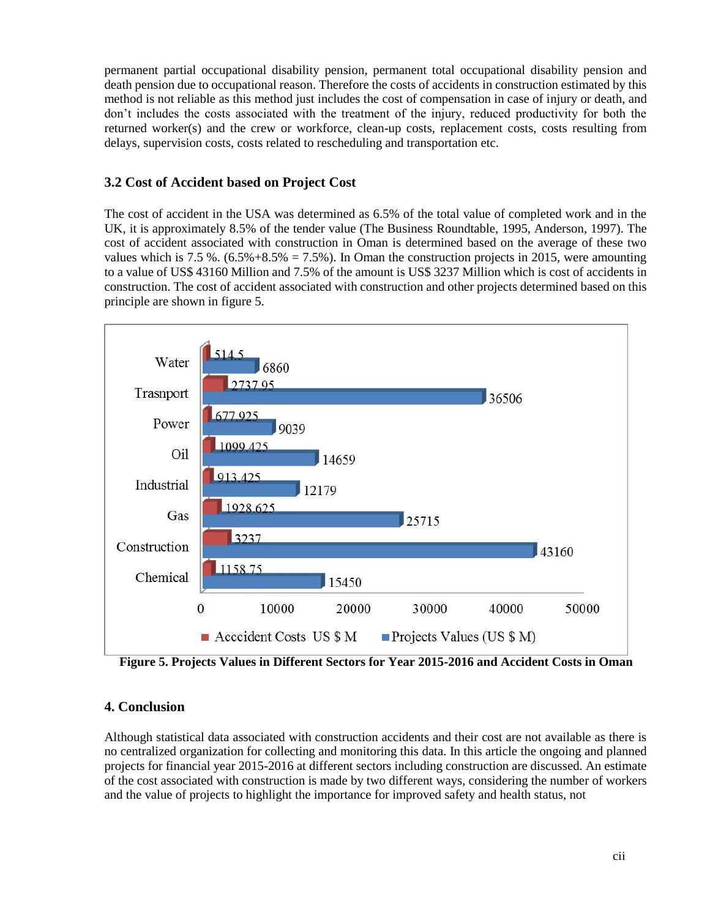permanent partial occupational disability pension, permanent total occupational disability pension and death pension due to occupational reason. Therefore the costs of accidents in construction estimated by this method is not reliable as this method just includes the cost of compensation in case of injury or death, and don't includes the costs associated with the treatment of the injury, reduced productivity for both the returned worker(s) and the crew or workforce, clean-up costs, replacement costs, costs resulting from delays, supervision costs, costs related to rescheduling and transportation etc.

# **3.2 Cost of Accident based on Project Cost**

The cost of accident in the USA was determined as 6.5% of the total value of completed work and in the UK, it is approximately 8.5% of the tender value (The Business Roundtable, 1995, Anderson, 1997). The cost of accident associated with construction in Oman is determined based on the average of these two values which is 7.5 %.  $(6.5\% + 8.5\% = 7.5\%)$ . In Oman the construction projects in 2015, were amounting to a value of US\$ 43160 Million and 7.5% of the amount is US\$ 3237 Million which is cost of accidents in construction. The cost of accident associated with construction and other projects determined based on this principle are shown in figure 5.



**Figure 5. Projects Values in Different Sectors for Year 2015-2016 and Accident Costs in Oman**

## **4. Conclusion**

Although statistical data associated with construction accidents and their cost are not available as there is no centralized organization for collecting and monitoring this data. In this article the ongoing and planned projects for financial year 2015-2016 at different sectors including construction are discussed. An estimate of the cost associated with construction is made by two different ways, considering the number of workers and the value of projects to highlight the importance for improved safety and health status, not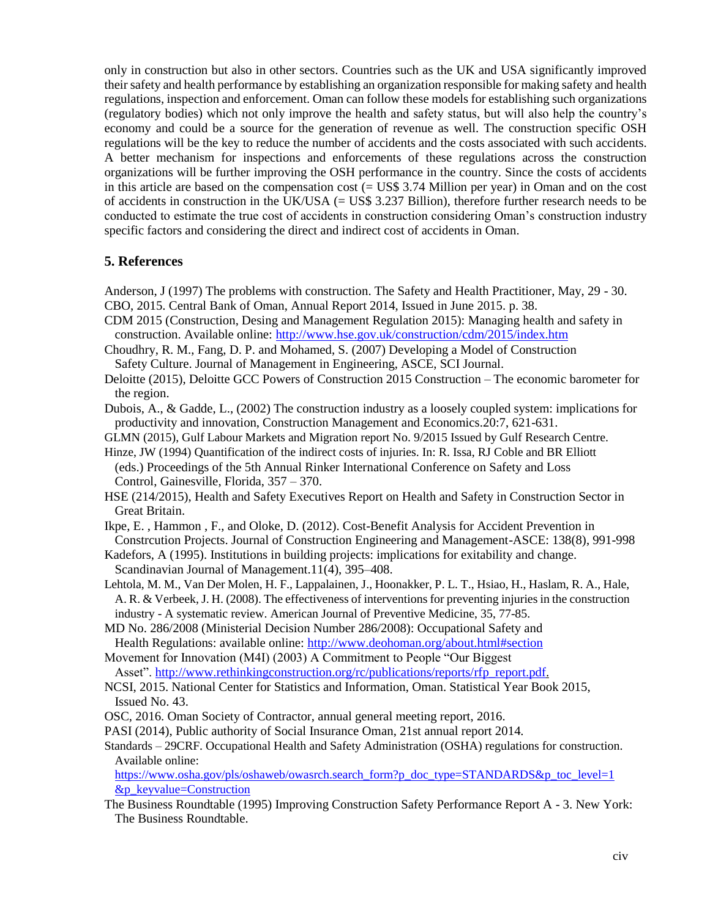only in construction but also in other sectors. Countries such as the UK and USA significantly improved their safety and health performance by establishing an organization responsible for making safety and health regulations, inspection and enforcement. Oman can follow these models for establishing such organizations (regulatory bodies) which not only improve the health and safety status, but will also help the country's economy and could be a source for the generation of revenue as well. The construction specific OSH regulations will be the key to reduce the number of accidents and the costs associated with such accidents. A better mechanism for inspections and enforcements of these regulations across the construction organizations will be further improving the OSH performance in the country. Since the costs of accidents in this article are based on the compensation cost (= US\$ 3.74 Million per year) in Oman and on the cost of accidents in construction in the UK/USA (= US\$ 3.237 Billion), therefore further research needs to be conducted to estimate the true cost of accidents in construction considering Oman's construction industry specific factors and considering the direct and indirect cost of accidents in Oman.

## **5. References**

Anderson, J (1997) The problems with construction. The Safety and Health Practitioner, May, 29 - 30. CBO, 2015. Central Bank of Oman, Annual Report 2014, Issued in June 2015. p. 38.

- CDM 2015 (Construction, Desing and Management Regulation 2015): Managing health and safety in construction. Available online:<http://www.hse.gov.uk/construction/cdm/2015/index.htm>
- Choudhry, R. M., Fang, D. P. and Mohamed, S. (2007) Developing a Model of Construction Safety Culture. Journal of Management in Engineering, ASCE, SCI Journal.

Deloitte (2015), Deloitte GCC Powers of Construction 2015 Construction – The economic barometer for the region.

Dubois, A., & Gadde, L., (2002) The construction industry as a loosely coupled system: implications for productivity and innovation, Construction Management and Economics.20:7, 621-631.

GLMN (2015), Gulf Labour Markets and Migration report No. 9/2015 Issued by Gulf Research Centre.

Hinze, JW (1994) Quantification of the indirect costs of injuries. In: R. Issa, RJ Coble and BR Elliott (eds.) Proceedings of the 5th Annual Rinker International Conference on Safety and Loss Control, Gainesville, Florida, 357 – 370.

- HSE (214/2015), Health and Safety Executives Report on Health and Safety in Construction Sector in Great Britain.
- Ikpe, E. , Hammon , F., and Oloke, D. (2012). Cost-Benefit Analysis for Accident Prevention in Constrcution Projects. Journal of Construction Engineering and Management-ASCE: 138(8), 991-998

Kadefors, A (1995). Institutions in building projects: implications for exitability and change. Scandinavian Journal of Management.11(4), 395–408.

Lehtola, M. M., Van Der Molen, H. F., Lappalainen, J., Hoonakker, P. L. T., Hsiao, H., Haslam, R. A., Hale, A. R. & Verbeek, J. H. (2008). The effectiveness of interventions for preventing injuries in the construction industry - A systematic review. American Journal of Preventive Medicine, 35, 77-85.

MD No. 286/2008 (Ministerial Decision Number 286/2008): Occupational Safety and Health Regulations: available online:<http://www.deohoman.org/about.html#section>

Movement for Innovation (M4I) (2003) A Commitment to People "Our Biggest Asset". [http://www.rethinkingconstruction.org/rc/publications/reports/rfp\\_report.pdf.](http://www.rethinkingconstruction.org/rc/publications/reports/rfp_report.pdf)

NCSI, 2015. National Center for Statistics and Information, Oman. Statistical Year Book 2015, Issued No. 43.

OSC, 2016. Oman Society of Contractor, annual general meeting report, 2016.

PASI (2014), Public authority of Social Insurance Oman, 21st annual report 2014.

Standards – 29CRF. Occupational Health and Safety Administration (OSHA) regulations for construction. Available online:

[https://www.osha.gov/pls/oshaweb/owasrch.search\\_form?p\\_doc\\_type=STANDARDS&p\\_toc\\_level=1](https://www.osha.gov/pls/oshaweb/owasrch.search_form?p_doc_type=STANDARDS&p_toc_level=1&p_keyvalue=Construction) [&p\\_keyvalue=Construction](https://www.osha.gov/pls/oshaweb/owasrch.search_form?p_doc_type=STANDARDS&p_toc_level=1&p_keyvalue=Construction)

The Business Roundtable (1995) Improving Construction Safety Performance Report A - 3. New York: The Business Roundtable.